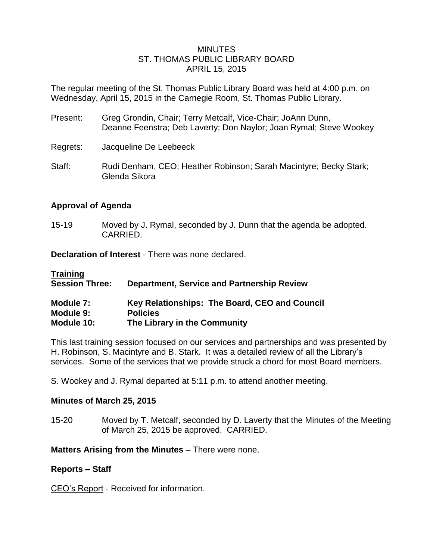## MINUTES ST. THOMAS PUBLIC LIBRARY BOARD APRIL 15, 2015

The regular meeting of the St. Thomas Public Library Board was held at 4:00 p.m. on Wednesday, April 15, 2015 in the Carnegie Room, St. Thomas Public Library.

- Present: Greg Grondin, Chair; Terry Metcalf, Vice-Chair; JoAnn Dunn, Deanne Feenstra; Deb Laverty; Don Naylor; Joan Rymal; Steve Wookey
- Regrets: Jacqueline De Leebeeck
- Staff: Rudi Denham, CEO; Heather Robinson; Sarah Macintyre; Becky Stark; Glenda Sikora

# **Approval of Agenda**

15-19 Moved by J. Rymal, seconded by J. Dunn that the agenda be adopted. CARRIED.

**Declaration of Interest** - There was none declared.

| <b>Training</b>       |                                                   |
|-----------------------|---------------------------------------------------|
| <b>Session Three:</b> | <b>Department, Service and Partnership Review</b> |
| Module 7:             | Key Relationships: The Board, CEO and Council     |
| Module 9:             | <b>Policies</b>                                   |
| Module 10:            | The Library in the Community                      |

This last training session focused on our services and partnerships and was presented by H. Robinson, S. Macintyre and B. Stark. It was a detailed review of all the Library's services. Some of the services that we provide struck a chord for most Board members.

S. Wookey and J. Rymal departed at 5:11 p.m. to attend another meeting.

### **Minutes of March 25, 2015**

15-20 Moved by T. Metcalf, seconded by D. Laverty that the Minutes of the Meeting of March 25, 2015 be approved. CARRIED.

**Matters Arising from the Minutes** – There were none.

### **Reports – Staff**

CEO's Report - Received for information.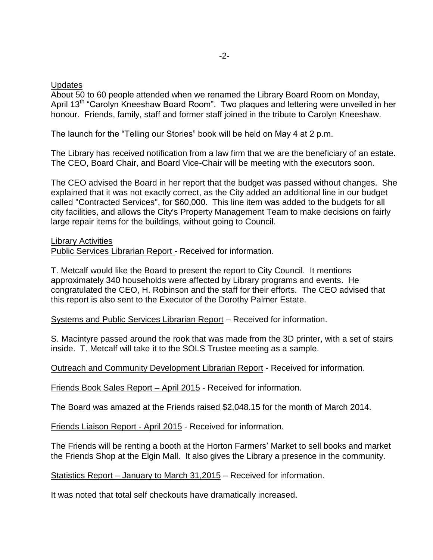## **Updates**

About 50 to 60 people attended when we renamed the Library Board Room on Monday, April 13<sup>th</sup> "Carolyn Kneeshaw Board Room". Two plaques and lettering were unveiled in her honour. Friends, family, staff and former staff joined in the tribute to Carolyn Kneeshaw.

The launch for the "Telling our Stories" book will be held on May 4 at 2 p.m.

The Library has received notification from a law firm that we are the beneficiary of an estate. The CEO, Board Chair, and Board Vice-Chair will be meeting with the executors soon.

The CEO advised the Board in her report that the budget was passed without changes. She explained that it was not exactly correct, as the City added an additional line in our budget called "Contracted Services", for \$60,000. This line item was added to the budgets for all city facilities, and allows the City's Property Management Team to make decisions on fairly large repair items for the buildings, without going to Council.

### Library Activities

Public Services Librarian Report - Received for information.

T. Metcalf would like the Board to present the report to City Council. It mentions approximately 340 households were affected by Library programs and events. He congratulated the CEO, H. Robinson and the staff for their efforts. The CEO advised that this report is also sent to the Executor of the Dorothy Palmer Estate.

Systems and Public Services Librarian Report – Received for information.

S. Macintyre passed around the rook that was made from the 3D printer, with a set of stairs inside. T. Metcalf will take it to the SOLS Trustee meeting as a sample.

Outreach and Community Development Librarian Report - Received for information.

Friends Book Sales Report – April 2015 - Received for information.

The Board was amazed at the Friends raised \$2,048.15 for the month of March 2014.

Friends Liaison Report - April 2015 - Received for information.

The Friends will be renting a booth at the Horton Farmers' Market to sell books and market the Friends Shop at the Elgin Mall. It also gives the Library a presence in the community.

Statistics Report – January to March 31,2015 – Received for information.

It was noted that total self checkouts have dramatically increased.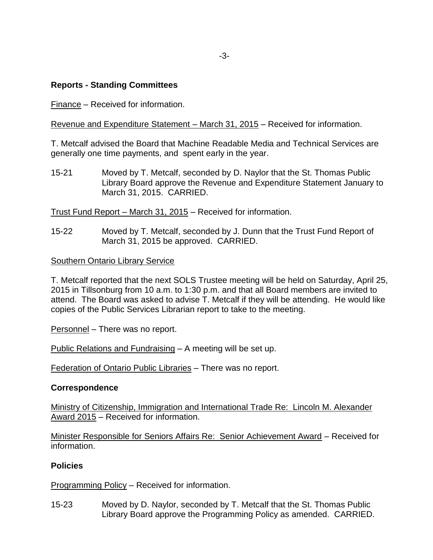# **Reports - Standing Committees**

Finance – Received for information.

Revenue and Expenditure Statement – March 31, 2015 – Received for information.

T. Metcalf advised the Board that Machine Readable Media and Technical Services are generally one time payments, and spent early in the year.

15-21 Moved by T. Metcalf, seconded by D. Naylor that the St. Thomas Public Library Board approve the Revenue and Expenditure Statement January to March 31, 2015. CARRIED.

Trust Fund Report – March 31, 2015 – Received for information.

15-22 Moved by T. Metcalf, seconded by J. Dunn that the Trust Fund Report of March 31, 2015 be approved. CARRIED.

## Southern Ontario Library Service

T. Metcalf reported that the next SOLS Trustee meeting will be held on Saturday, April 25, 2015 in Tillsonburg from 10 a.m. to 1:30 p.m. and that all Board members are invited to attend. The Board was asked to advise T. Metcalf if they will be attending. He would like copies of the Public Services Librarian report to take to the meeting.

Personnel – There was no report.

Public Relations and Fundraising – A meeting will be set up.

Federation of Ontario Public Libraries – There was no report.

### **Correspondence**

Ministry of Citizenship, Immigration and International Trade Re: Lincoln M. Alexander Award 2015 – Received for information.

Minister Responsible for Seniors Affairs Re: Senior Achievement Award – Received for information.

### **Policies**

Programming Policy – Received for information.

15-23 Moved by D. Naylor, seconded by T. Metcalf that the St. Thomas Public Library Board approve the Programming Policy as amended. CARRIED.